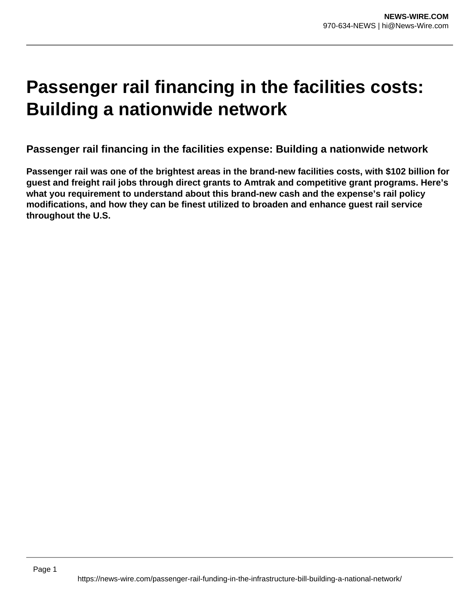# **Passenger rail financing in the facilities costs: Building a nationwide network**

**Passenger rail financing in the facilities expense: Building a nationwide network**

**Passenger rail was one of the brightest areas in the brand-new facilities costs, with \$102 billion for guest and freight rail jobs through direct grants to Amtrak and competitive grant programs. Here's what you requirement to understand about this brand-new cash and the expense's rail policy modifications, and how they can be finest utilized to broaden and enhance guest rail service throughout the U.S.**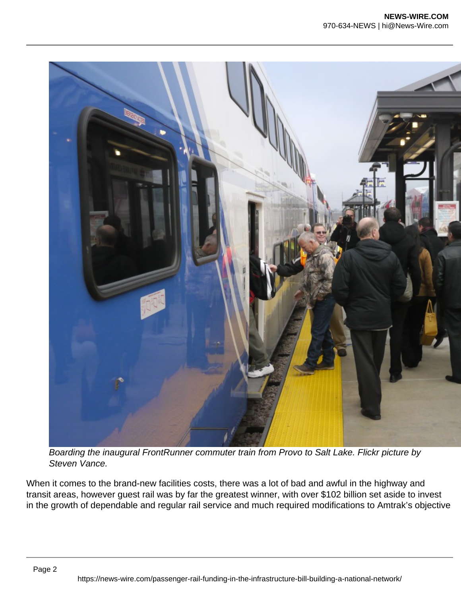

Boarding the inaugural FrontRunner commuter train from Provo to Salt Lake. Flickr picture by Steven Vance.

When it comes to the brand-new facilities costs, there was a lot of bad and awful in the highway and transit areas, however guest rail was by far the greatest winner, with over \$102 billion set aside to invest in the growth of dependable and regular rail service and much required modifications to Amtrak's objective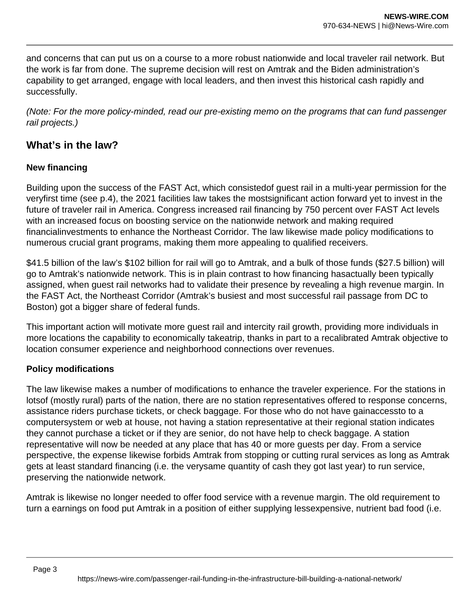and concerns that can put us on a course to a more robust nationwide and local traveler rail network. But the work is far from done. The supreme decision will rest on Amtrak and the Biden administration's capability to get arranged, engage with local leaders, and then invest this historical cash rapidly and successfully.

(Note: For the more policy-minded, read our pre-existing memo on the programs that can fund passenger rail projects.)

## **What's in the law?**

### **New financing**

Building upon the success of the FAST Act, which consistedof guest rail in a multi-year permission for the veryfirst time (see p.4), the 2021 facilities law takes the mostsignificant action forward yet to invest in the future of traveler rail in America. Congress increased rail financing by 750 percent over FAST Act levels with an increased focus on boosting service on the nationwide network and making required financialinvestments to enhance the Northeast Corridor. The law likewise made policy modifications to numerous crucial grant programs, making them more appealing to qualified receivers.

\$41.5 billion of the law's \$102 billion for rail will go to Amtrak, and a bulk of those funds (\$27.5 billion) will go to Amtrak's nationwide network. This is in plain contrast to how financing hasactually been typically assigned, when guest rail networks had to validate their presence by revealing a high revenue margin. In the FAST Act, the Northeast Corridor (Amtrak's busiest and most successful rail passage from DC to Boston) got a bigger share of federal funds.

This important action will motivate more guest rail and intercity rail growth, providing more individuals in more locations the capability to economically takeatrip, thanks in part to a recalibrated Amtrak objective to location consumer experience and neighborhood connections over revenues.

#### **Policy modifications**

The law likewise makes a number of modifications to enhance the traveler experience. For the stations in lotsof (mostly rural) parts of the nation, there are no station representatives offered to response concerns, assistance riders purchase tickets, or check baggage. For those who do not have gainaccessto to a computersystem or web at house, not having a station representative at their regional station indicates they cannot purchase a ticket or if they are senior, do not have help to check baggage. A station representative will now be needed at any place that has 40 or more guests per day. From a service perspective, the expense likewise forbids Amtrak from stopping or cutting rural services as long as Amtrak gets at least standard financing (i.e. the verysame quantity of cash they got last year) to run service, preserving the nationwide network.

Amtrak is likewise no longer needed to offer food service with a revenue margin. The old requirement to turn a earnings on food put Amtrak in a position of either supplying lessexpensive, nutrient bad food (i.e.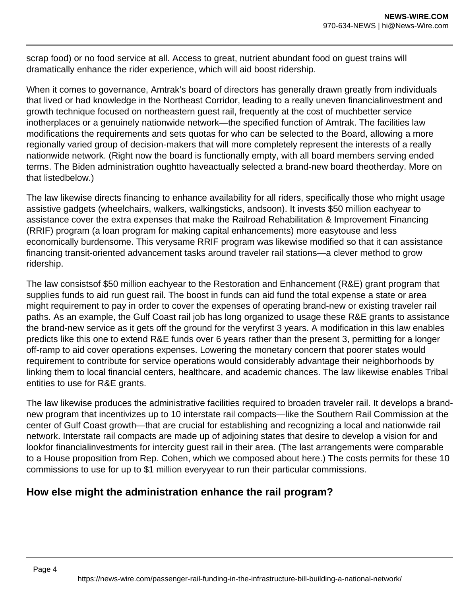scrap food) or no food service at all. Access to great, nutrient abundant food on guest trains will dramatically enhance the rider experience, which will aid boost ridership.

When it comes to governance, Amtrak's board of directors has generally drawn greatly from individuals that lived or had knowledge in the Northeast Corridor, leading to a really uneven financialinvestment and growth technique focused on northeastern guest rail, frequently at the cost of muchbetter service inotherplaces or a genuinely nationwide network—the specified function of Amtrak. The facilities law modifications the requirements and sets quotas for who can be selected to the Board, allowing a more regionally varied group of decision-makers that will more completely represent the interests of a really nationwide network. (Right now the board is functionally empty, with all board members serving ended terms. The Biden administration oughtto haveactually selected a brand-new board theotherday. More on that listedbelow.)

The law likewise directs financing to enhance availability for all riders, specifically those who might usage assistive gadgets (wheelchairs, walkers, walkingsticks, andsoon). It invests \$50 million eachyear to assistance cover the extra expenses that make the Railroad Rehabilitation & Improvement Financing (RRIF) program (a loan program for making capital enhancements) more easytouse and less economically burdensome. This verysame RRIF program was likewise modified so that it can assistance financing transit-oriented advancement tasks around traveler rail stations—a clever method to grow ridership.

The law consistsof \$50 million eachyear to the Restoration and Enhancement (R&E) grant program that supplies funds to aid run guest rail. The boost in funds can aid fund the total expense a state or area might requirement to pay in order to cover the expenses of operating brand-new or existing traveler rail paths. As an example, the Gulf Coast rail job has long organized to usage these R&E grants to assistance the brand-new service as it gets off the ground for the veryfirst 3 years. A modification in this law enables predicts like this one to extend R&E funds over 6 years rather than the present 3, permitting for a longer off-ramp to aid cover operations expenses. Lowering the monetary concern that poorer states would requirement to contribute for service operations would considerably advantage their neighborhoods by linking them to local financial centers, healthcare, and academic chances. The law likewise enables Tribal entities to use for R&E grants.

The law likewise produces the administrative facilities required to broaden traveler rail. It develops a brandnew program that incentivizes up to 10 interstate rail compacts—like the Southern Rail Commission at the center of Gulf Coast growth—that are crucial for establishing and recognizing a local and nationwide rail network. Interstate rail compacts are made up of adjoining states that desire to develop a vision for and lookfor financialinvestments for intercity guest rail in their area. (The last arrangements were comparable to a House proposition from Rep. Cohen, which we composed about here.) The costs permits for these 10 commissions to use for up to \$1 million everyyear to run their particular commissions.

## **How else might the administration enhance the rail program?**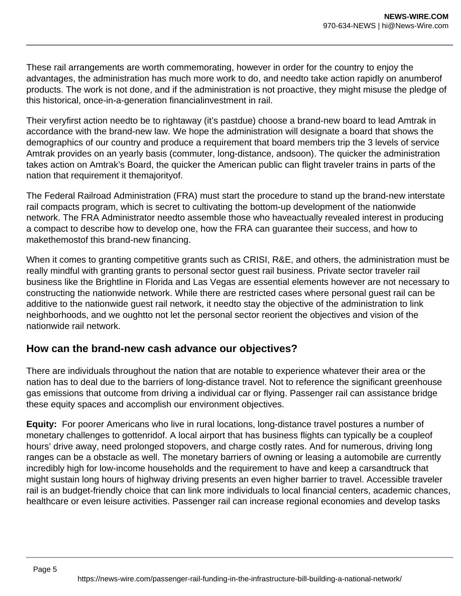These rail arrangements are worth commemorating, however in order for the country to enjoy the advantages, the administration has much more work to do, and needto take action rapidly on anumberof products. The work is not done, and if the administration is not proactive, they might misuse the pledge of this historical, once-in-a-generation financialinvestment in rail.

Their veryfirst action needto be to rightaway (it's pastdue) choose a brand-new board to lead Amtrak in accordance with the brand-new law. We hope the administration will designate a board that shows the demographics of our country and produce a requirement that board members trip the 3 levels of service Amtrak provides on an yearly basis (commuter, long-distance, andsoon). The quicker the administration takes action on Amtrak's Board, the quicker the American public can flight traveler trains in parts of the nation that requirement it themajorityof.

The Federal Railroad Administration (FRA) must start the procedure to stand up the brand-new interstate rail compacts program, which is secret to cultivating the bottom-up development of the nationwide network. The FRA Administrator needto assemble those who haveactually revealed interest in producing a compact to describe how to develop one, how the FRA can guarantee their success, and how to makethemostof this brand-new financing.

When it comes to granting competitive grants such as CRISI, R&E, and others, the administration must be really mindful with granting grants to personal sector guest rail business. Private sector traveler rail business like the Brightline in Florida and Las Vegas are essential elements however are not necessary to constructing the nationwide network. While there are restricted cases where personal guest rail can be additive to the nationwide guest rail network, it needto stay the objective of the administration to link neighborhoods, and we oughtto not let the personal sector reorient the objectives and vision of the nationwide rail network.

## **How can the brand-new cash advance our objectives?**

There are individuals throughout the nation that are notable to experience whatever their area or the nation has to deal due to the barriers of long-distance travel. Not to reference the significant greenhouse gas emissions that outcome from driving a individual car or flying. Passenger rail can assistance bridge these equity spaces and accomplish our environment objectives.

**Equity:** For poorer Americans who live in rural locations, long-distance travel postures a number of monetary challenges to gottenridof. A local airport that has business flights can typically be a coupleof hours' drive away, need prolonged stopovers, and charge costly rates. And for numerous, driving long ranges can be a obstacle as well. The monetary barriers of owning or leasing a automobile are currently incredibly high for low-income households and the requirement to have and keep a carsandtruck that might sustain long hours of highway driving presents an even higher barrier to travel. Accessible traveler rail is an budget-friendly choice that can link more individuals to local financial centers, academic chances, healthcare or even leisure activities. Passenger rail can increase regional economies and develop tasks